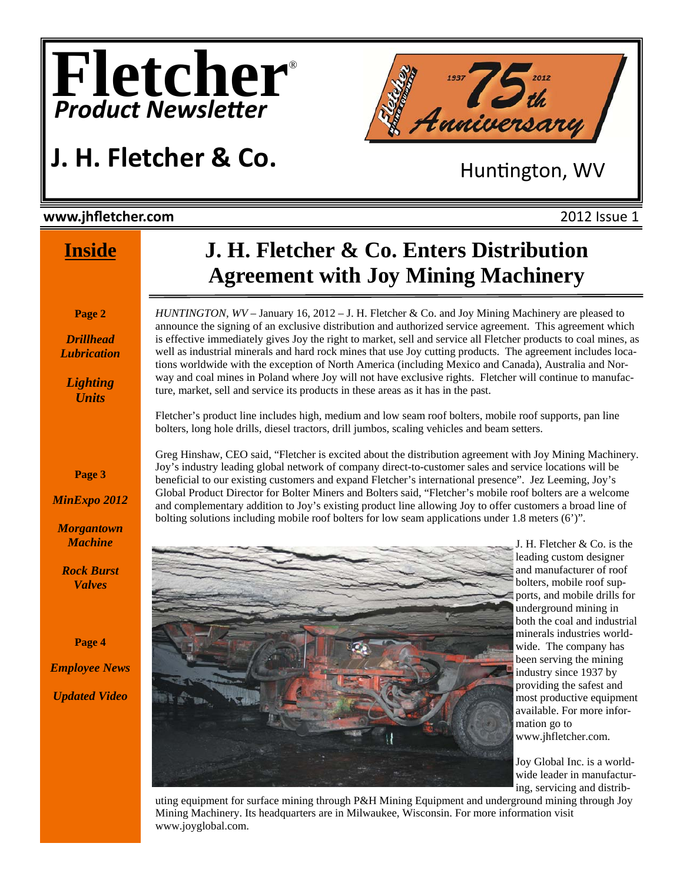





#### **www.jhfletcher.com** 2012 Issue 1

### **Inside**

#### **Page 2**

*Drillhead Lubrication* 

*Lighting Units* 

**Page 3** 

*MinExpo 2012* 

*Morgantown Machine* 

*Rock Burst Valves* 

**Page 4** 

*Employee News Updated Video* 

## **J. H. Fletcher & Co. Enters Distribution Agreement with Joy Mining Machinery**

*HUNTINGTON, WV* – January 16, 2012 – J. H. Fletcher & Co. and Joy Mining Machinery are pleased to announce the signing of an exclusive distribution and authorized service agreement. This agreement which is effective immediately gives Joy the right to market, sell and service all Fletcher products to coal mines, as well as industrial minerals and hard rock mines that use Joy cutting products. The agreement includes locations worldwide with the exception of North America (including Mexico and Canada), Australia and Norway and coal mines in Poland where Joy will not have exclusive rights. Fletcher will continue to manufacture, market, sell and service its products in these areas as it has in the past.

Fletcher's product line includes high, medium and low seam roof bolters, mobile roof supports, pan line bolters, long hole drills, diesel tractors, drill jumbos, scaling vehicles and beam setters.

Greg Hinshaw, CEO said, "Fletcher is excited about the distribution agreement with Joy Mining Machinery. Joy's industry leading global network of company direct-to-customer sales and service locations will be beneficial to our existing customers and expand Fletcher's international presence". Jez Leeming, Joy's Global Product Director for Bolter Miners and Bolters said, "Fletcher's mobile roof bolters are a welcome and complementary addition to Joy's existing product line allowing Joy to offer customers a broad line of bolting solutions including mobile roof bolters for low seam applications under 1.8 meters (6')".



J. H. Fletcher & Co. is the leading custom designer and manufacturer of roof bolters, mobile roof supports, and mobile drills for underground mining in both the coal and industrial minerals industries worldwide. The company has been serving the mining industry since 1937 by providing the safest and most productive equipment available. For more information go to www.jhfletcher.com.

Joy Global Inc. is a worldwide leader in manufacturing, servicing and distrib-

uting equipment for surface mining through P&H Mining Equipment and underground mining through Joy Mining Machinery. Its headquarters are in Milwaukee, Wisconsin. For more information visit www.joyglobal.com.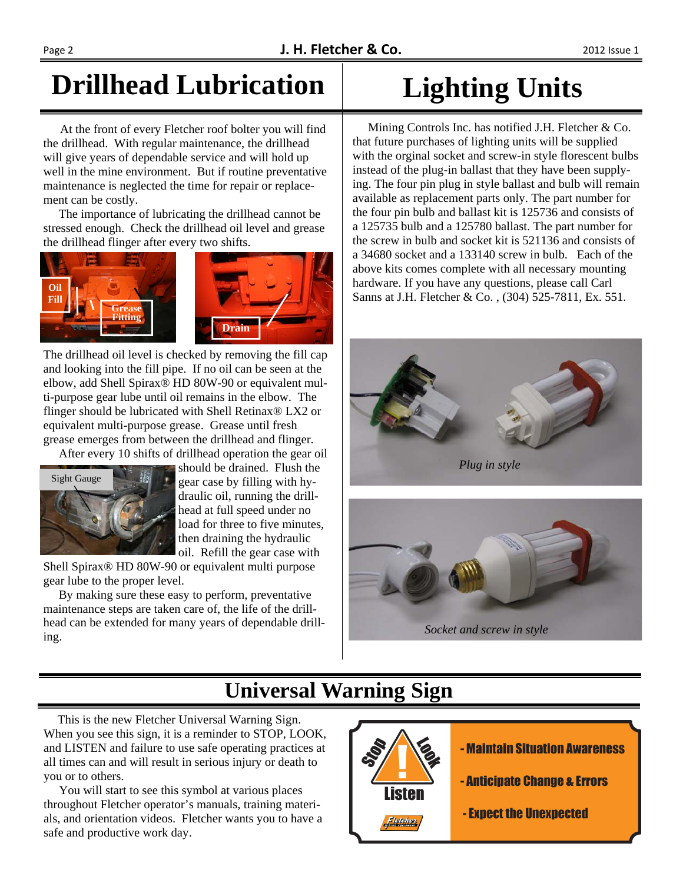## **Drillhead Lubrication**

 At the front of every Fletcher roof bolter you will find the drillhead. With regular maintenance, the drillhead will give years of dependable service and will hold up well in the mine environment. But if routine preventative maintenance is neglected the time for repair or replacement can be costly.

 The importance of lubricating the drillhead cannot be stressed enough. Check the drillhead oil level and grease the drillhead flinger after every two shifts.



The drillhead oil level is checked by removing the fill cap and looking into the fill pipe. If no oil can be seen at the elbow, add Shell Spirax® HD 80W-90 or equivalent multi-purpose gear lube until oil remains in the elbow. The flinger should be lubricated with Shell Retinax® LX2 or equivalent multi-purpose grease. Grease until fresh grease emerges from between the drillhead and flinger.

After every 10 shifts of drillhead operation the gear oil



should be drained. Flush the gear case by filling with hydraulic oil, running the drillhead at full speed under no load for three to five minutes, then draining the hydraulic oil. Refill the gear case with

Shell Spirax® HD 80W-90 or equivalent multi purpose gear lube to the proper level.

 By making sure these easy to perform, preventative maintenance steps are taken care of, the life of the drillhead can be extended for many years of dependable drilling.

# **Lighting Units**

 Mining Controls Inc. has notified J.H. Fletcher & Co. that future purchases of lighting units will be supplied with the orginal socket and screw-in style florescent bulbs instead of the plug-in ballast that they have been supplying. The four pin plug in style ballast and bulb will remain available as replacement parts only. The part number for the four pin bulb and ballast kit is 125736 and consists of a 125735 bulb and a 125780 ballast. The part number for the screw in bulb and socket kit is 521136 and consists of a 34680 socket and a 133140 screw in bulb. Each of the above kits comes complete with all necessary mounting hardware. If you have any questions, please call Carl Sanns at J.H. Fletcher & Co. , (304) 525-7811, Ex. 551.





## **Universal Warning Sign**

 This is the new Fletcher Universal Warning Sign. When you see this sign, it is a reminder to STOP, LOOK, and LISTEN and failure to use safe operating practices at all times can and will result in serious injury or death to you or to others.

 You will start to see this symbol at various places throughout Fletcher operator's manuals, training materials, and orientation videos. Fletcher wants you to have a safe and productive work day.

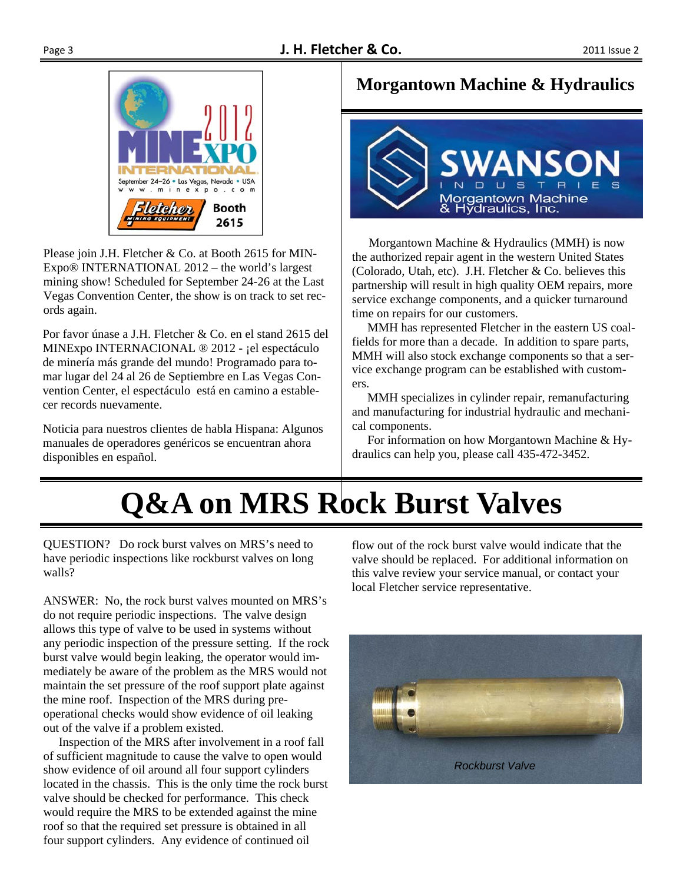

Please join J.H. Fletcher & Co. at Booth 2615 for MIN-Expo® INTERNATIONAL 2012 – the world's largest mining show! Scheduled for September 24-26 at the Last Vegas Convention Center, the show is on track to set records again.

Por favor únase a J.H. Fletcher & Co. en el stand 2615 del MINExpo INTERNACIONAL ® 2012 - ¡el espectáculo de minería más grande del mundo! Programado para tomar lugar del 24 al 26 de Septiembre en Las Vegas Convention Center, el espectáculo está en camino a establecer records nuevamente.

Noticia para nuestros clientes de habla Hispana: Algunos manuales de operadores genéricos se encuentran ahora disponibles en español.

### **Morgantown Machine & Hydraulics**



 Morgantown Machine & Hydraulics (MMH) is now the authorized repair agent in the western United States (Colorado, Utah, etc). J.H. Fletcher & Co. believes this partnership will result in high quality OEM repairs, more service exchange components, and a quicker turnaround time on repairs for our customers.

 MMH has represented Fletcher in the eastern US coalfields for more than a decade. In addition to spare parts, MMH will also stock exchange components so that a service exchange program can be established with customers.

 MMH specializes in cylinder repair, remanufacturing and manufacturing for industrial hydraulic and mechanical components.

 For information on how Morgantown Machine & Hydraulics can help you, please call 435-472-3452.

# **Q&A on MRS Rock Burst Valves**

QUESTION? Do rock burst valves on MRS's need to have periodic inspections like rockburst valves on long walls?

ANSWER: No, the rock burst valves mounted on MRS's do not require periodic inspections. The valve design allows this type of valve to be used in systems without any periodic inspection of the pressure setting. If the rock burst valve would begin leaking, the operator would immediately be aware of the problem as the MRS would not maintain the set pressure of the roof support plate against the mine roof. Inspection of the MRS during preoperational checks would show evidence of oil leaking out of the valve if a problem existed.

 Inspection of the MRS after involvement in a roof fall of sufficient magnitude to cause the valve to open would show evidence of oil around all four support cylinders located in the chassis. This is the only time the rock burst valve should be checked for performance. This check would require the MRS to be extended against the mine roof so that the required set pressure is obtained in all four support cylinders. Any evidence of continued oil

flow out of the rock burst valve would indicate that the valve should be replaced. For additional information on this valve review your service manual, or contact your local Fletcher service representative.